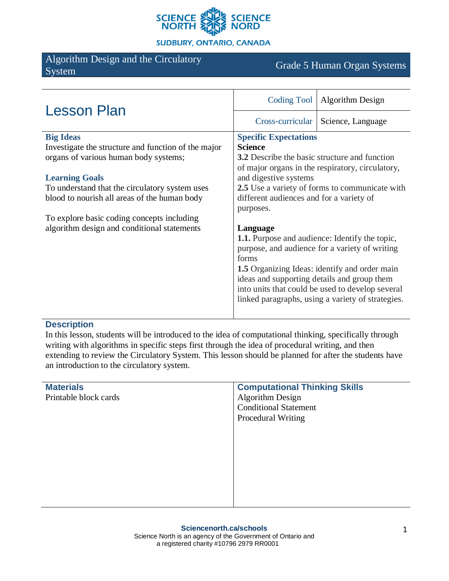

**SUDBURY, ONTARIO, CANADA** 

# Algorithm Design and the Circulatory Argontum Design and the Chedratory<br>System Grade 5 Human Organ Systems

| <b>Lesson Plan</b>                                  | Coding Tool                                           | <b>Algorithm Design</b> |
|-----------------------------------------------------|-------------------------------------------------------|-------------------------|
|                                                     | Cross-curricular                                      | Science, Language       |
| <b>Big Ideas</b>                                    | <b>Specific Expectations</b>                          |                         |
| Investigate the structure and function of the major | <b>Science</b>                                        |                         |
| organs of various human body systems;               | <b>3.2</b> Describe the basic structure and function  |                         |
|                                                     | of major organs in the respiratory, circulatory,      |                         |
| <b>Learning Goals</b>                               | and digestive systems                                 |                         |
| To understand that the circulatory system uses      | 2.5 Use a variety of forms to communicate with        |                         |
| blood to nourish all areas of the human body        | different audiences and for a variety of              |                         |
|                                                     | purposes.                                             |                         |
| To explore basic coding concepts including          |                                                       |                         |
| algorithm design and conditional statements         | Language                                              |                         |
|                                                     | <b>1.1.</b> Purpose and audience: Identify the topic, |                         |
|                                                     | purpose, and audience for a variety of writing        |                         |
|                                                     | forms                                                 |                         |
|                                                     | <b>1.5</b> Organizing Ideas: identify and order main  |                         |
|                                                     | ideas and supporting details and group them           |                         |
|                                                     | into units that could be used to develop several      |                         |
|                                                     | linked paragraphs, using a variety of strategies.     |                         |
|                                                     |                                                       |                         |

#### **Description**

In this lesson, students will be introduced to the idea of computational thinking, specifically through writing with algorithms in specific steps first through the idea of procedural writing, and then extending to review the Circulatory System. This lesson should be planned for after the students have an introduction to the circulatory system.

| <b>Materials</b>      | <b>Computational Thinking Skills</b> |
|-----------------------|--------------------------------------|
| Printable block cards | <b>Algorithm Design</b>              |
|                       | <b>Conditional Statement</b>         |
|                       | <b>Procedural Writing</b>            |
|                       |                                      |
|                       |                                      |
|                       |                                      |
|                       |                                      |
|                       |                                      |
|                       |                                      |
|                       |                                      |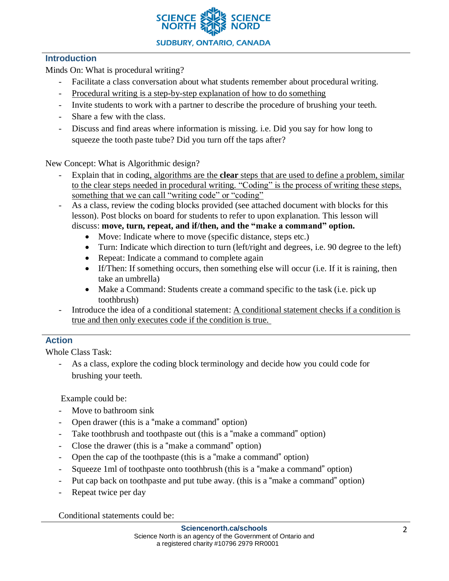

## **Introduction**

Minds On: What is procedural writing?

- Facilitate a class conversation about what students remember about procedural writing.
- Procedural writing is a step-by-step explanation of how to do something
- Invite students to work with a partner to describe the procedure of brushing your teeth.
- Share a few with the class.
- Discuss and find areas where information is missing. i.e. Did you say for how long to squeeze the tooth paste tube? Did you turn off the taps after?

New Concept: What is Algorithmic design?

- Explain that in coding, algorithms are the **clear** steps that are used to define a problem, similar to the clear steps needed in procedural writing. "Coding" is the process of writing these steps, something that we can call "writing code" or "coding"
- As a class, review the coding blocks provided (see attached document with blocks for this lesson). Post blocks on board for students to refer to upon explanation. This lesson will discuss: **move, turn, repeat, and if/then, and the "make a command" option.** 
	- Move: Indicate where to move (specific distance, steps etc.)
	- Turn: Indicate which direction to turn (left/right and degrees, i.e. 90 degree to the left)
	- Repeat: Indicate a command to complete again
	- If/Then: If something occurs, then something else will occur (i.e. If it is raining, then take an umbrella)
	- Make a Command: Students create a command specific to the task (i.e. pick up toothbrush)
- Introduce the idea of a conditional statement: A conditional statement checks if a condition is true and then only executes code if the condition is true.

# **Action**

Whole Class Task:

As a class, explore the coding block terminology and decide how you could code for brushing your teeth.

Example could be:

- Move to bathroom sink
- Open drawer (this is a "make a command" option)
- Take toothbrush and toothpaste out (this is a "make a command" option)
- Close the drawer (this is a "make a command" option)
- Open the cap of the toothpaste (this is a "make a command" option)
- Squeeze 1ml of toothpaste onto toothbrush (this is a "make a command" option)
- Put cap back on toothpaste and put tube away. (this is a "make a command" option)
- Repeat twice per day

Conditional statements could be: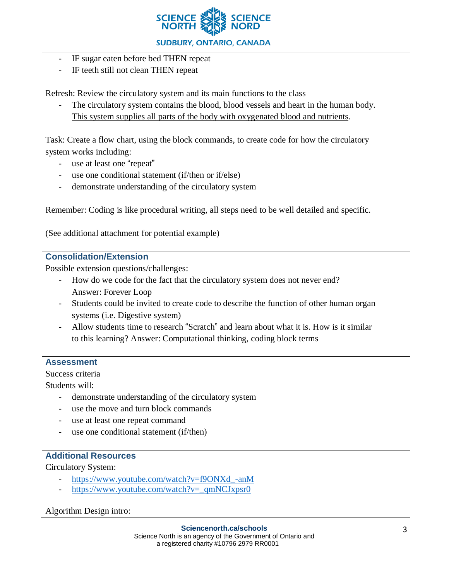

- IF sugar eaten before bed THEN repeat
- IF teeth still not clean THEN repeat

Refresh: Review the circulatory system and its main functions to the class

The circulatory system contains the blood, blood vessels and heart in the human body. This system supplies all parts of the body with oxygenated blood and nutrients.

Task: Create a flow chart, using the block commands, to create code for how the circulatory system works including:

- use at least one "repeat"
- use one conditional statement (if/then or if/else)
- demonstrate understanding of the circulatory system

Remember: Coding is like procedural writing, all steps need to be well detailed and specific.

(See additional attachment for potential example)

### **Consolidation/Extension**

Possible extension questions/challenges:

- How do we code for the fact that the circulatory system does not never end? Answer: Forever Loop
- Students could be invited to create code to describe the function of other human organ systems (i.e. Digestive system)
- Allow students time to research "Scratch" and learn about what it is. How is it similar to this learning? Answer: Computational thinking, coding block terms

### **Assessment**

Success criteria

Students will:

- demonstrate understanding of the circulatory system
- use the move and turn block commands
- use at least one repeat command
- use one conditional statement (if/then)

### **Additional Resources**

Circulatory System:

- [https://www.youtube.com/watch?v=f9ONXd\\_-anM](https://www.youtube.com/watch?v=f9ONXd_-anM)
- [https://www.youtube.com/watch?v=\\_qmNCJxpsr0](https://www.youtube.com/watch?v=_qmNCJxpsr0)

### Algorithm Design intro: